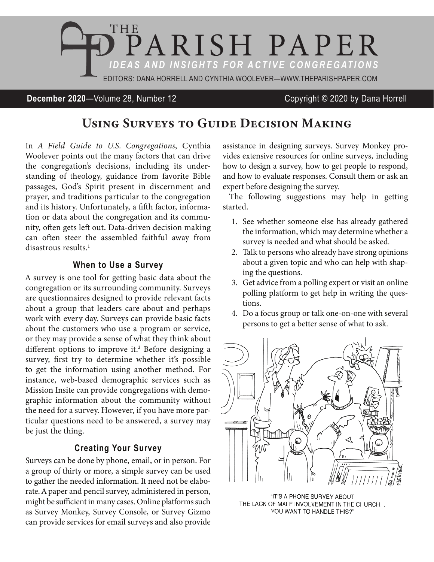

### **December 2020**—Volume 28, Number 12 Copyright © 2020 by Dana Horrell

# Using Surveys to Guide Decision Making

In *A Field Guide to U.S. Congregations*, Cynthia Woolever points out the many factors that can drive the congregation's decisions, including its understanding of theology, guidance from favorite Bible passages, God's Spirit present in discernment and prayer, and traditions particular to the congregation and its history. Unfortunately, a fifth factor, information or data about the congregation and its community, often gets left out. Data-driven decision making can often steer the assembled faithful away from disastrous results.<sup>1</sup>

#### **When to Use a Survey**

A survey is one tool for getting basic data about the congregation or its surrounding community. Surveys are questionnaires designed to provide relevant facts about a group that leaders care about and perhaps work with every day. Surveys can provide basic facts about the customers who use a program or service, or they may provide a sense of what they think about different options to improve it.<sup>2</sup> Before designing a survey, first try to determine whether it's possible to get the information using another method. For instance, web-based demographic services such as Mission Insite can provide congregations with demographic information about the community without the need for a survey. However, if you have more particular questions need to be answered, a survey may be just the thing.

#### **Creating Your Survey**

Surveys can be done by phone, email, or in person. For a group of thirty or more, a simple survey can be used to gather the needed information. It need not be elaborate. A paper and pencil survey, administered in person, might be sufficient in many cases. Online platforms such as Survey Monkey, Survey Console, or Survey Gizmo can provide services for email surveys and also provide assistance in designing surveys. Survey Monkey provides extensive resources for online surveys, including how to design a survey, how to get people to respond, and how to evaluate responses. Consult them or ask an expert before designing the survey.

The following suggestions may help in getting started.

- 1. See whether someone else has already gathered the information, which may determine whether a survey is needed and what should be asked.
- 2. Talk to persons who already have strong opinions about a given topic and who can help with shaping the questions.
- 3. Get advice from a polling expert or visit an online polling platform to get help in writing the questions.
- 4. Do a focus group or talk one-on-one with several persons to get a better sense of what to ask.



"IT'S A PHONE SURVEY ABOUT THE LACK OF MALE INVOLVEMENT IN THE CHURCH... YOU WANT TO HANDLE THIS?"